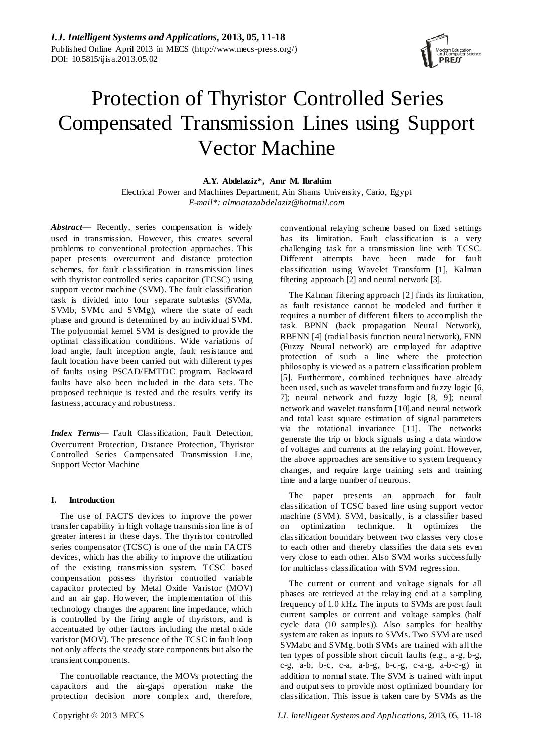

# Protection of Thyristor Controlled Series Compensated Transmission Lines using Support Vector Machine

**A.Y. Abdelaziz\*, Amr M. Ibrahim** Electrical Power and Machines Department, Ain Shams University, Cario, Egypt *E-mail\*: almoatazabdelaziz@hotmail.com*

*Abstract—* Recently, series compensation is widely used in transmission. However, this creates several problems to conventional protection approaches. This paper presents overcurrent and distance protection schemes, for fault classification in trans mission lines with thyristor controlled series capacitor (TCSC) using support vector machine (SVM). The fault classification task is divided into four separate subtasks (SVMa, SVMb, SVMc and SVMg), where the state of each phase and ground is determined by an individual SVM. The polynomial kernel SVM is designed to provide the optimal classification conditions. Wide variations of load angle, fault inception angle, fault resistance and fault location have been carried out with different types of faults using PSCAD/EMTDC program. Backward faults have also been included in the data sets. The proposed technique is tested and the results verify its fastness, accuracy and robustness.

*Index Terms*— Fault Classification, Fault Detection, Overcurrent Protection, Distance Protection, Thyristor Controlled Series Compensated Transmission Line, Support Vector Machine

## **I. Introduction**

The use of FACTS devices to improve the power transfer capability in high voltage transmission line is of greater interest in these days. The thyristor controlled series compensator (TCSC) is one of the main FACTS devices, which has the ability to improve the utilization of the existing transmission system. TCSC based compensation possess thyristor controlled variable capacitor protected by Metal Oxide Varistor (MOV) and an air gap. However, the implementation of this technology changes the apparent line impedance, which is controlled by the firing angle of thyristors, and is accentuated by other factors including the metal oxide varistor (MOV). The presence of the TCSC in fault loop not only affects the steady state components but also the transient components.

The controllable reactance, the MOVs protecting the capacitors and the air-gaps operation make the protection decision more complex and, therefore,

conventional relaying scheme based on fixed settings has its limitation. Fault classification is a very challenging task for a transmission line with TCSC. Different attempts have been made for fault classification using Wavelet Transform [1], Kalman filtering approach [2] and neural network [3].

The Kalman filtering approach [2] finds its limitation, as fault resistance cannot be modeled and further it requires a number of different filters to accomplish the task. BPNN (back propagation Neural Network), RBFNN [4] (radial basis function neural network), FNN (Fuzzy Neural network) are employed for adaptive protection of such a line where the protection philosophy is viewed as a pattern classification problem [5]. Furthermore, combined techniques have already been used, such as wavelet transform and fuzzy logic [6, 7]; neural network and fuzzy logic [8, 9]; neural network and wavelet transform [10].and neural network and total least square estimation of signal parameters via the rotational invariance [11]. The networks generate the trip or block signals using a data window of voltages and currents at the relaying point. However, the above approaches are sensitive to system frequency changes, and require large training sets and training time and a large number of neurons.

The paper presents an approach for fault classification of TCSC based line using support vector machine (SVM). SVM, basically, is a classifier based on optimization technique. It optimizes the classification boundary between two classes very clos e to each other and thereby classifies the data sets even very close to each other. Also SVM works successfully for multiclass classification with SVM regression.

The current or current and voltage signals for all phases are retrieved at the relaying end at a sampling frequency of 1.0 kHz. The inputs to SVMs are post fault current samples or current and voltage samples (half cycle data (10 samples)). Also samples for healthy system are taken as inputs to SVMs. Two SVM are used SVMabc and SVMg. both SVMs are trained with all the ten types of possible short circuit faults (e.g., a -g, b-g, c-g, a-b, b-c, c-a, a-b-g, b-c-g, c-a-g, a-b-c-g) in addition to normal state. The SVM is trained with input and output sets to provide most optimized boundary for classification. This issue is taken care by SVMs as the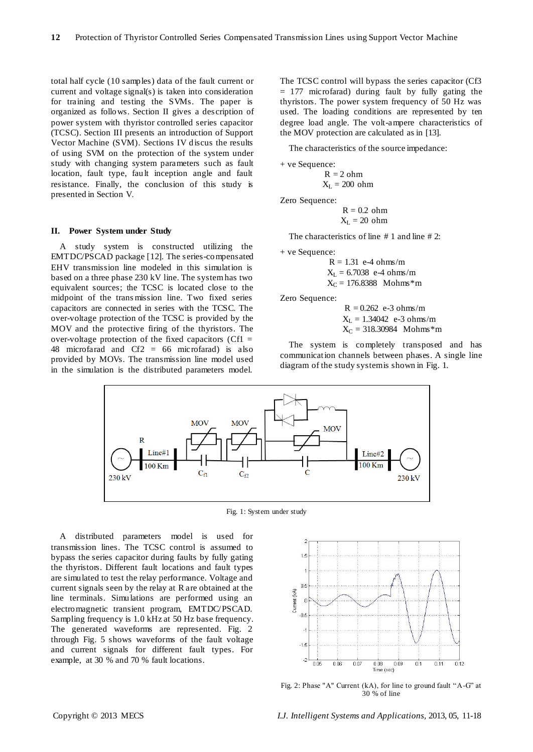total half cycle (10 samples) data of the fault current or current and voltage signal(s) is taken into consideration for training and testing the SVMs. The paper is organized as follows. Section II gives a des cription of power system with thyristor controlled series capacitor (TCSC). Section III presents an introduction of Support Vector Machine (SVM). Sections IV discus the results of using SVM on the protection of the system under study with changing system parameters such as fault location, fault type, fault inception angle and fault resistance. Finally, the conclusion of this study is presented in Section V.

#### **II. Power System under Study**

A study system is constructed utilizing the EMTDC/PSCAD package [12]. The s eries-compensated EHV transmission line modeled in this simulation is based on a three phase 230 kV line. The system has two equivalent sources; the TCSC is located close to the midpoint of the trans mission line. Two fixed series capacitors are connected in series with the TCSC. The over-voltage protection of the TCSC is provided by the MOV and the protective firing of the thyristors. The over-voltage protection of the fixed capacitors ( $Cf1 =$ 48 microfarad and Cf2 = 66 microfarad) is also provided by MOVs. The transmission line model used in the simulation is the distributed parameters model.

The TCSC control will bypass the series capacitor (Cf3 = 177 microfarad) during fault by fully gating the thyristors. The power system frequency of 50 Hz was used. The loading conditions are represented by ten degree load angle. The volt-ampere characteristics of the MOV protection are calculated as in [13].

The characteristics of the source impedance:

```
+ ve Sequence:
R = 2 ohm
```
 $X_L = 200$  ohm

Zero Sequence:

 $R = 0.2$  ohm  $X_L = 20$  ohm

The characteristics of line # 1 and line # 2:

+ ve Sequence:

 $R = 1.31$  e-4 ohms/m  $X_L = 6.7038$  e-4 ohms/m  $X_C = 176.8388$  Mohms\*m

Zero Sequence:

 $R = 0.262$  e-3 ohms/m  $X_L = 1.34042$  e-3 ohms/m  $X_C = 318.30984$  Mohms\*m

The system is completely transposed and has communication channels between phases. A single line diagram of the study system is shown in Fig. 1.



Fig. 1: System under study

A distributed parameters model is used for transmission lines. The TCSC control is assumed to bypass the series capacitor during faults by fully gating the thyristors. Different fault locations and fault types are simulated to test the relay performance. Voltage and current signals seen by the relay at R are obtained at the line terminals. Simulations are performed using an electromagnetic transient program, EMTDC/PSCAD. Sampling frequency is 1.0 kHz at 50 Hz base frequency. The generated waveforms are represented. Fig. 2 through Fig. 5 shows waveforms of the fault voltage and current signals for different fault types. For example, at 30 % and 70 % fault locations.



Fig. 2: Phase "A" Current (kA), for line to ground fault "A-G" at 30 % of line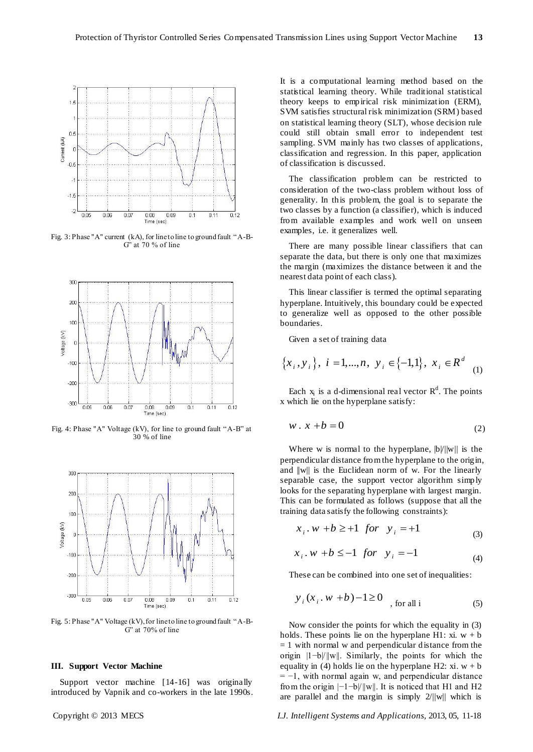

Fig. 3: Phase "A" current (kA), for line to line to ground fault "A-B- $G'$  at 70 % of line



Fig. 4: Phase "A" Voltage (kV), for line to ground fault "A-B" at 30 % of line



Fig. 5: Phase "A" Voltage (kV), for line to line to ground fault "A-B- $G'$  at 70% of line

#### **III. Support Vector Machine**

Support vector machine [14-16] was originally introduced by Vapnik and co-workers in the late 1990s.

It is a computational learning method based on the statistical learning theory. While traditional statistical theory keeps to empirical risk minimization (ERM), SVM satisfies structural risk minimization (SRM) based on statistical learning theory (SLT), whose decision rule could still obtain small error to independent test sampling. SVM mainly has two classes of applications, classification and regression. In this paper, application of classification is discussed.

The classification problem can be restricted to consideration of the two-class problem without loss of generality. In this problem, the goal is to separate the two classes by a function (a classifier), which is induced from available examples and work well on unseen examples, i.e. it generalizes well.

There are many possible linear classifiers that can separate the data, but there is only one that maximizes the margin (maximizes the distance between it and the nearest data point of each class).

This linear classifier is termed the optimal separating hyperplane. Intuitively, this boundary could be expected to generalize well as opposed to the other possible boundaries.

Given a set of training data

Given a set of taking data  

$$
\{x_i, y_i\}
$$
,  $i = 1,...,n$ ,  $y_i \in \{-1,1\}$ ,  $x_i \in R^d$  (1)

Each  $x_i$  is a d-dimensional real vector  $R^d$ . The points x which lie on the hyperplane satisfy:

$$
w \cdot x + b = 0 \tag{2}
$$

Where w is normal to the hyperplane,  $|b/||w||$  is the perpendicular distance from the hyperplane to the origin, and  $||w||$  is the Euclidean norm of w. For the linearly separable case, the support vector algorithm simply looks for the separating hyperplane with largest margin. This can be formulated as follows (suppose that all the training data satisfy the following constraints):

$$
x_i \tcdot w + b \ge 1
$$
 for  $y_i = +1$  (3)

$$
x_i \cdot w + b \le -1
$$
 for  $y_i = -1$  (4)

These can be combined into one set of inequalities:

$$
y_i(x_i, w + b) - 1 \ge 0
$$
, for all i (5)

Now consider the points for which the equality in (3) holds. These points lie on the hyperplane H1: xi.  $w + b$  $= 1$  with normal w and perpendicular distance from the origin |1−b|/||w||. Similarly, the points for which the equality in (4) holds lie on the hyperplane H2: xi.  $w + b$  $= -1$ , with normal again w, and perpendicular distance from the origin |−1−b|/||w||. It is noticed that H1 and H2 are parallel and the margin is simply  $2/||w||$  which is

Copyright © 2013 MECS *I.J. Intelligent Systems and Applications,* 2013, 05, 11-18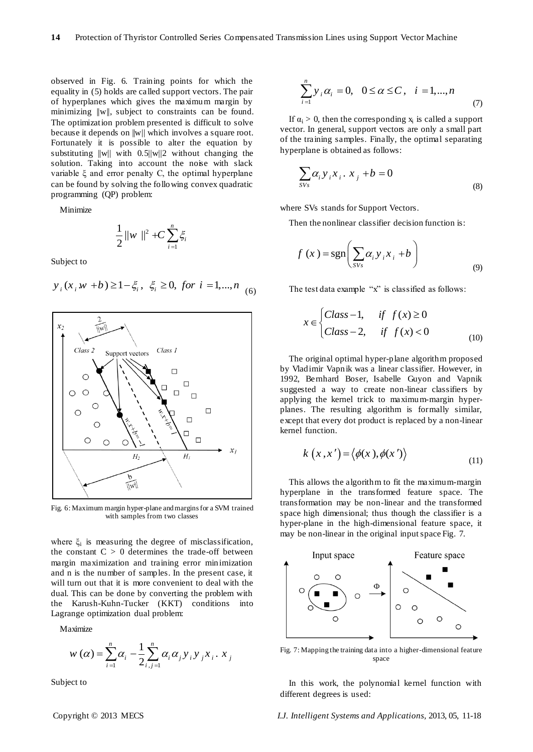observed in Fig. 6. Training points for which the equality in (5) holds are called support vectors. The pair of hyperplanes which gives the maximum margin by minimizing ||w||, subject to constraints can be found. The optimization problem presented is difficult to solve because it depends on ||w|| which involves a square root. Fortunately it is possible to alter the equation by substituting  $||w||$  with 0.5 $||w||$ 2 without changing the solution. Taking into account the noise with slack variable ξ and error penalty C, the optimal hyperplane can be found by solving the following convex quadratic programming (QP) problem:

Minimize

$$
\frac{1}{2} \|w\|^2 + C \sum_{i=1}^n \xi_i
$$

Subject to

 $y_i(x_i w + b) \ge 1 - \xi_i, \xi_i \ge 0, \text{ for } i = 1,...,n$  (6)



Fig. 6: Maximum margin hyper-plane and margins for a SVM trained with samples from two classes

where  $\xi_i$  is measuring the degree of misclassification, the constant  $C > 0$  determines the trade-off between margin maximization and training error minimization and n is the number of samples. In the present case, it will turn out that it is more convenient to deal with the dual. This can be done by converting the problem with the Karush-Kuhn-Tucker (KKT) conditions into Lagrange optimization dual problem:

Maximize

aximize  

$$
w(\alpha) = \sum_{i=1}^{n} \alpha_i - \frac{1}{2} \sum_{i,j=1}^{n} \alpha_i \alpha_j y_i y_j x_i \cdot x_j
$$

Subject to

$$
\sum_{i=1}^{n} y_i \alpha_i = 0, \ \ 0 \le \alpha \le C, \ \ i = 1, ..., n
$$
 (7)

If  $\alpha_i > 0$ , then the corresponding  $x_i$  is called a support vector. In general, support vectors are only a small part of the training samples. Finally, the optimal separating hyperplane is obtained as follows:

$$
\sum_{SVs} \alpha_i y_i x_i \cdot x_j + b = 0 \tag{8}
$$

where SVs stands for Support Vectors.

Then the nonlinear classifier decision function is:

$$
f(x) = sgn\left(\sum_{SVs} \alpha_i y_i x_i + b\right)
$$
\n(9)

The test data example  $x$ " is classified as follows:

$$
x \in \begin{cases} Class-1, & \text{if } f(x) \ge 0 \\ Class-2, & \text{if } f(x) < 0 \end{cases}
$$
 (10)

The original optimal hyper-plane algorithm proposed b[y Vladimir Vapnik](http://en.wikipedia.org/wiki/Vladimir_Vapnik) was a [linear classifier.](http://en.wikipedia.org/wiki/Linear_classifier) However, in 1992, [Bernhard Boser,](http://en.wikipedia.org/w/index.php?title=Bernhard_Boser&action=edit&redlink=1) [Isabelle Guyon](http://en.wikipedia.org/w/index.php?title=Isabelle_Guyon&action=edit&redlink=1) and [Vapnik](http://en.wikipedia.org/wiki/Vapnik) suggested a way to create non-linear classifiers by applying the [kernel trick](http://en.wikipedia.org/wiki/Kernel_trick) to maximum-margin hyperplanes. The resulting algorithm is formally similar, except that every [dot product](http://en.wikipedia.org/wiki/Dot_product) is replaced by a non-linear [kernel](http://en.wikipedia.org/wiki/Kernel_%28integral_operator%29) function.

$$
k(x, x') = \langle \phi(x), \phi(x') \rangle
$$
 (11)

This allows the algorithm to fit the maximum-margin hyperplane in the transformed feature [space.](http://en.wikipedia.org/wiki/Space#Mathematics) The transformation may be non-linear and the transformed space high dimensional; thus though the classifier is a hyper-plane in the high-dimensional feature space, it may be non-linear in the original input space Fig. 7.



Fig. 7: Mapping the training data into a higher-dimensional feature space

In this work, the polynomial kernel function with different degrees is used:

Copyright © 2013 MECS *I.J. Intelligent Systems and Applications,* 2013, 05, 11-18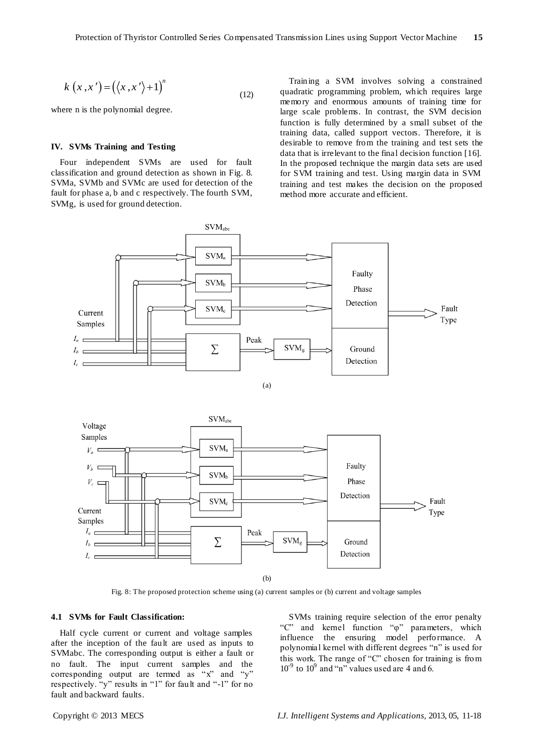$$
k(x, x') = (\langle x, x' \rangle + 1)^n \tag{12}
$$

where n is the polynomial degree.

#### **IV. SVMs Training and Testing**

Four independent SVMs are used for fault classification and ground detection as shown in Fig. 8. SVMa, SVMb and SVMc are used for detection of the fault for phase a, b and c respectively. The fourth SVM, SVMg, is used for ground detection.

Training a SVM involves solving a constrained quadratic programming problem, which requires large memory and enormous amounts of training time for large scale problems. In contrast, the SVM decision function is fully determined by a small subset of the training data, called support vectors. Therefore, it is desirable to remove from the training and test sets the data that is irrelevant to the final decision function [16]. In the proposed technique the margin data sets are used for SVM training and test. Using margin data in SVM training and test makes the decision on the proposed method more accurate and efficient.





Fig. 8: The proposed protection scheme using (a) current samples or (b) current and voltage samples

## **4.1 SVMs for Fault Classification:**

Half cycle current or current and voltage samples after the inception of the fault are used as inputs to SVMabc. The corresponding output is either a fault or no fault. The input current samples and the corresponding output are termed as  $"x"$  and  $"y"$ respectively. "y" results in "1" for fault and "-1" for no fault and backward faults.

SVMs training require selection of the error penalty "C" and kernel function "φ" parameters, which influence the ensuring model performance. A polynomial kernel with different degrees "n" is used for this work. The range of "C" chosen for training is from  $10^{9}$  to  $10^{9}$  and "n" values used are 4 and 6.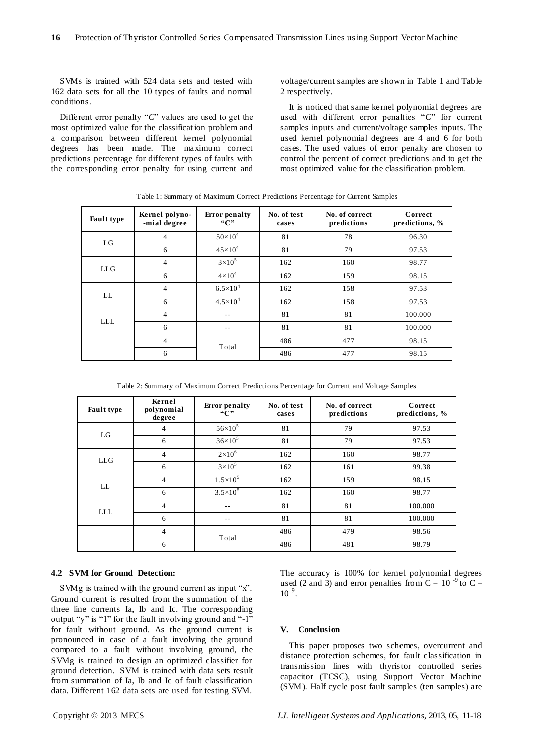SVMs is trained with 524 data sets and tested with 162 data sets for all the 10 types of faults and normal conditions.

Different error penalty " $C$ " values are used to get the most optimized value for the classificat ion problem and a comparison between different kernel polynomial degrees has been made. The maximum correct predictions percentage for different types of faults with the corresponding error penalty for using current and voltage/current samples are shown in Table 1 and Table 2 respectively.

It is noticed that same kernel polynomial degrees are used with different error penalties "C" for current samples inputs and current/voltage samples inputs. The used kernel polynomial degrees are 4 and 6 for both cases. The used values of error penalty are chosen to control the percent of correct predictions and to get the most optimized value for the classification problem.

| <b>Fault type</b> | Kernel polyno-<br>-mial degree | <b>Error</b> penalty<br>``C" | No. of test<br>cases | No. of correct<br>predictions | Correct<br>predictions, % |
|-------------------|--------------------------------|------------------------------|----------------------|-------------------------------|---------------------------|
| LG                | $\overline{4}$                 | $50\times10^4$               | 81                   | 78                            | 96.30                     |
|                   | 6                              | $45 \times 10^{4}$           | 81                   | 79                            | 97.53                     |
| <b>LLG</b>        | $\overline{4}$                 | $3\times10^5$                | 162                  | 160                           | 98.77                     |
|                   | 6                              | $4\times10^4$                | 162                  | 159                           | 98.15                     |
| LL                | 4                              | $6.5 \times 10^{4}$          | 162                  | 158                           | 97.53                     |
|                   | 6                              | $4.5 \times 10^{4}$          | 162                  | 158                           | 97.53                     |
| <b>LLL</b>        | $\overline{4}$                 | --                           | 81                   | 81                            | 100.000                   |
|                   | 6                              | --                           | 81                   | 81                            | 100.000                   |
|                   | $\overline{4}$                 | Total                        | 486                  | 477                           | 98.15                     |
|                   | 6                              |                              | 486                  | 477                           | 98.15                     |

Table 1: Summary of Maximum Correct Predictions Percentage for Current Samples

Table 2: Summary of Maximum Correct Predictions Percentage for Current and Voltage Samples

| <b>Fault type</b> | Kernel<br>polynomial<br>degree | <b>Error</b> penalty<br>``C" | No. of test<br>cases | No. of correct<br>predictions | Correct<br>predictions, % |
|-------------------|--------------------------------|------------------------------|----------------------|-------------------------------|---------------------------|
| LG                | 4                              | $56 \times 10^5$             | 81                   | 79                            | 97.53                     |
|                   | 6                              | $36\times10^5$               | 81                   | 79                            | 97.53                     |
| <b>LLG</b>        | 4                              | $2\times10^6$                | 162                  | 160                           | 98.77                     |
|                   | 6                              | $3\times10^5$                | 162                  | 161                           | 99.38                     |
| LL                | 4                              | $1.5 \times 10^{5}$          | 162                  | 159                           | 98.15                     |
|                   | 6                              | $3.5 \times 10^5$            | 162                  | 160                           | 98.77                     |
| <b>LLL</b>        | $\overline{4}$                 | --                           | 81                   | 81                            | 100.000                   |
|                   | 6                              | --                           | 81                   | 81                            | 100.000                   |
|                   | $\overline{4}$                 | Total                        | 486                  | 479                           | 98.56                     |
|                   | 6                              |                              | 486                  | 481                           | 98.79                     |

### **4.2 SVM for Ground Detection:**

SVMg is trained with the ground current as input "x". Ground current is resulted from the summation of the three line currents Ia, Ib and Ic. The corresponding output "y" is "1" for the fault involving ground and "-1" for fault without ground. As the ground current is pronounced in case of a fault involving the ground compared to a fault without involving ground, the SVMg is trained to design an optimized classifier for ground detection. SVM is trained with data sets result from summation of Ia, Ib and Ic of fault classification data. Different 162 data sets are used for testing SVM.

The accuracy is 100% for kernel polynomial degrees used (2 and 3) and error penalties from C =  $10^{-9}$  to C =  $10^{9}$ .

#### **V. Conclusion**

This paper proposes two schemes, overcurrent and distance protection schemes, for fault classification in transmission lines with thyristor controlled series capacitor (TCSC), using Support Vector Machine (SVM). Half cycle post fault samples (ten samples) are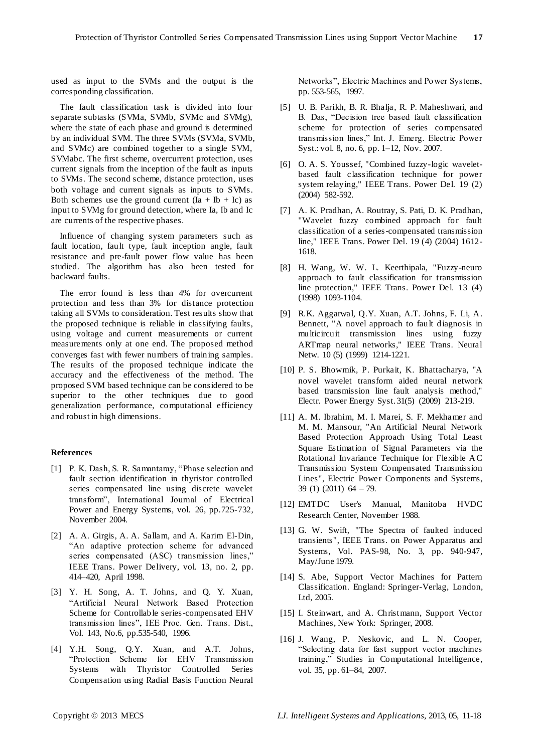used as input to the SVMs and the output is the corresponding classification.

The fault classification task is divided into four separate subtasks (SVMa, SVMb, SVMc and SVMg), where the state of each phase and ground is determined by an individual SVM. The three SVMs (SVMa, SVMb, and SVMc) are combined together to a single SVM, SVMabc. The first scheme, overcurrent protection, uses current signals from the inception of the fault as inputs to SVMs. The second scheme, distance protection, uses both voltage and current signals as inputs to SVMs. Both schemes use the ground current  $(Ia + Ib + Ic)$  as input to SVMg for ground detection, where Ia, Ib and Ic are currents of the respective phases.

Influence of changing system parameters such as fault location, fault type, fault inception angle, fault resistance and pre-fault power flow value has been studied. The algorithm has also been tested for backward faults.

The error found is less than 4% for overcurrent protection and less than 3% for distance protection taking all SVMs to consideration. Test results show that the proposed technique is reliable in classifying faults, using voltage and current measurements or current measurements only at one end. The proposed method converges fast with fewer numbers of training samples. The results of the proposed technique indicate the accuracy and the effectiveness of the method. The proposed SVM based technique can be considered to be superior to the other techniques due to good generalization performance, computational efficiency and robust in high dimensions.

#### **References**

- [1] P. K. Dash, S. R. Samantaray, "Phase selection and fault section identification in thyristor controlled series compensated line using discrete wavelet transform‖, International Journal of Electrical Power and Energy Systems, vol. 26, pp.725-732, November 2004.
- [2] A. A. Girgis, A. A. Sallam, and A. Karim El-Din, ―An adaptive protection scheme for advanced series compensated (ASC) transmission lines," IEEE Trans. Power Delivery, vol. 13, no. 2, pp. 414–420, April 1998.
- [3] Y. H. Song, A. T. Johns, and Q. Y. Xuan, ―Artificial Neural Network Based Protection Scheme for Controllable series-compensated EHV transmission lines", IEE Proc. Gen. Trans. Dist., Vol. 143, No.6, pp.535-540, 1996.
- [4] Y.H. Song, Q.Y. Xuan, and A.T. Johns, ―Protection Scheme for EHV Transmission Systems with Thyristor Controlled Series Compensation using Radial Basis Function Neural

Networks", Electric Machines and Power Systems, pp. 553-565, 1997.

- [5] U. B. Parikh, B. R. Bhalja, R. P. Maheshwari, and B. Das, "Decision tree based fault classification scheme for protection of series compensated transmission lines," Int. J. Emerg. Electric Power Syst.: vol. 8, no. 6, pp. 1–12, Nov. 2007.
- [6] O. A. S. Youssef, "Combined fuzzy-logic waveletbased fault classification technique for power system relaying," IEEE Trans. Power Del. 19 (2) (2004) 582-592.
- [7] A. K. Pradhan, A. Routray, S. Pati, D. K. Pradhan, "Wavelet fuzzy combined approach for fault classification of a series-compensated transmission line," IEEE Trans. Power Del. 19 (4) (2004) 1612- 1618.
- [8] H. Wang, W. W. L. Keerthipala, "Fuzzy-neuro approach to fault classification for transmission line protection," IEEE Trans. Power Del. 13 (4) (1998) 1093-1104.
- [9] R.K. Aggarwal, Q.Y. Xuan, A.T. Johns, F. Li, A. Bennett, "A novel approach to fault diagnosis in multicircuit transmission lines using fuzzy ARTmap neural networks," IEEE Trans. Neural Netw. 10 (5) (1999) 1214-1221.
- [10] P. S. Bhowmik, P. Purkait, K. Bhattacharya, "A novel wavelet transform aided neural network based transmission line fault analysis method," Electr. Power Energy Syst. 31(5) (2009) 213-219.
- [11] A. M. Ibrahim, M. I. Marei, S. F. Mekhamer and M. M. Mansour, "An Artificial Neural Network Based Protection Approach Using Total Least Square Estimation of Signal Parameters via the Rotational Invariance Technique for Flexible AC Transmission System Compensated Transmission Lines", Electric Power Components and Systems, 39 (1) (2011) 64 – 79.
- [12] EMTDC User's Manual, Manitoba HVDC Research Center, November 1988.
- [13] G. W. Swift, "The Spectra of faulted induced transients", IEEE Trans. on Power Apparatus and Systems, Vol. PAS-98, No. 3, pp. 940-947, May/June 1979.
- [14] S. Abe, Support Vector Machines for Pattern Classification. England: Springer-Verlag, London, Ltd, 2005.
- [15] I. Steinwart, and A. Christmann, Support Vector Machines, New York: Springer, 2008.
- [16] J. Wang, P. Neskovic, and L. N. Cooper, ―Selecting data for fast support vector machines training," [Studies in Computational Intelligence,](http://www.springerlink.com/content/119788/?p=be16741b0dcb461cbbc9f996ceb6ec79&pi=0) vol. 35, pp. 61–84, 2007.